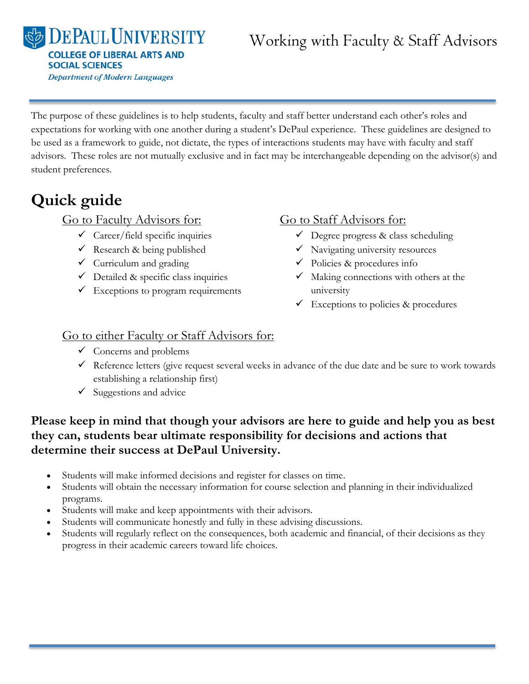**DEPAULUNIVERSITY COLLEGE OF LIBERAL ARTS AND SOCIAL SCIENCES Department of Modern Languages** 

# Working with Faculty & Staff Advisors

The purpose of these guidelines is to help students, faculty and staff better understand each other's roles and expectations for working with one another during a student's DePaul experience. These guidelines are designed to be used as a framework to guide, not dictate, the types of interactions students may have with faculty and staff advisors. These roles are not mutually exclusive and in fact may be interchangeable depending on the advisor(s) and student preferences.

# **Quick guide**

### Go to Faculty Advisors for:

- $\checkmark$  Career/field specific inquiries
- $\checkmark$  Research & being published
- $\checkmark$  Curriculum and grading
- $\checkmark$  Detailed & specific class inquiries
- $\checkmark$  Exceptions to program requirements

# Go to Staff Advisors for:

- $\checkmark$  Degree progress & class scheduling
- $\checkmark$  Navigating university resources
- $\checkmark$  Policies & procedures info
- $\checkmark$  Making connections with others at the university
- $\checkmark$  Exceptions to policies & procedures

# Go to either Faculty or Staff Advisors for:

- $\checkmark$  Concerns and problems
- $\checkmark$  Reference letters (give request several weeks in advance of the due date and be sure to work towards establishing a relationship first)
- $\checkmark$  Suggestions and advice

# **Please keep in mind that though your advisors are here to guide and help you as best they can, students bear ultimate responsibility for decisions and actions that determine their success at DePaul University.**

- Students will make informed decisions and register for classes on time.
- Students will obtain the necessary information for course selection and planning in their individualized programs.
- Students will make and keep appointments with their advisors.
- Students will communicate honestly and fully in these advising discussions.
- Students will regularly reflect on the consequences, both academic and financial, of their decisions as they progress in their academic careers toward life choices.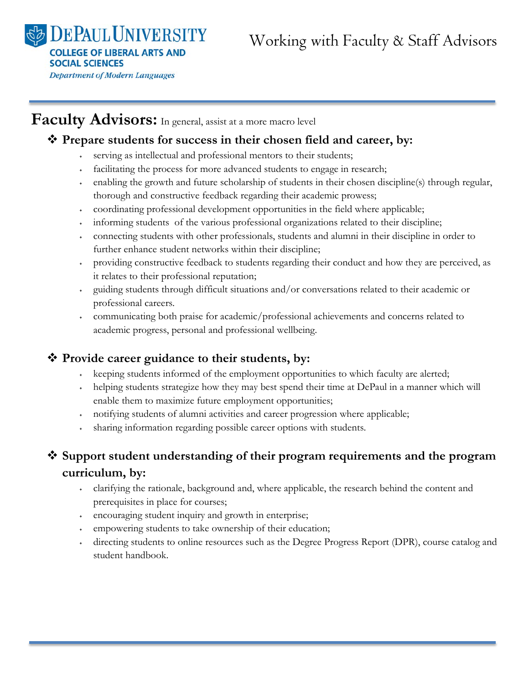**EPAUL UNIVERSITY COLLEGE OF LIBERAL ARTS AND SOCIAL SCIENCES Department of Modern Languages** 

# **Faculty Advisors:** In general, assist at a more macro level

#### **Prepare students for success in their chosen field and career, by:**

- serving as intellectual and professional mentors to their students;
- ˖ facilitating the process for more advanced students to engage in research;
- ˖ enabling the growth and future scholarship of students in their chosen discipline(s) through regular, thorough and constructive feedback regarding their academic prowess;
- ˖ coordinating professional development opportunities in the field where applicable;
- ˖ informing students of the various professional organizations related to their discipline;
- ˖ connecting students with other professionals, students and alumni in their discipline in order to further enhance student networks within their discipline;
- ˖ providing constructive feedback to students regarding their conduct and how they are perceived, as it relates to their professional reputation;
- ˖ guiding students through difficult situations and/or conversations related to their academic or professional careers.
- ˖ communicating both praise for academic/professional achievements and concerns related to academic progress, personal and professional wellbeing.

#### **Provide career guidance to their students, by:**

- ˖ keeping students informed of the employment opportunities to which faculty are alerted;
- ˖ helping students strategize how they may best spend their time at DePaul in a manner which will enable them to maximize future employment opportunities;
- ˖ notifying students of alumni activities and career progression where applicable;
- sharing information regarding possible career options with students.

# **Support student understanding of their program requirements and the program curriculum, by:**

- ˖ clarifying the rationale, background and, where applicable, the research behind the content and prerequisites in place for courses;
- ˖ encouraging student inquiry and growth in enterprise;
- ˖ empowering students to take ownership of their education;
- ˖ directing students to online resources such as the Degree Progress Report (DPR), course catalog and student handbook.